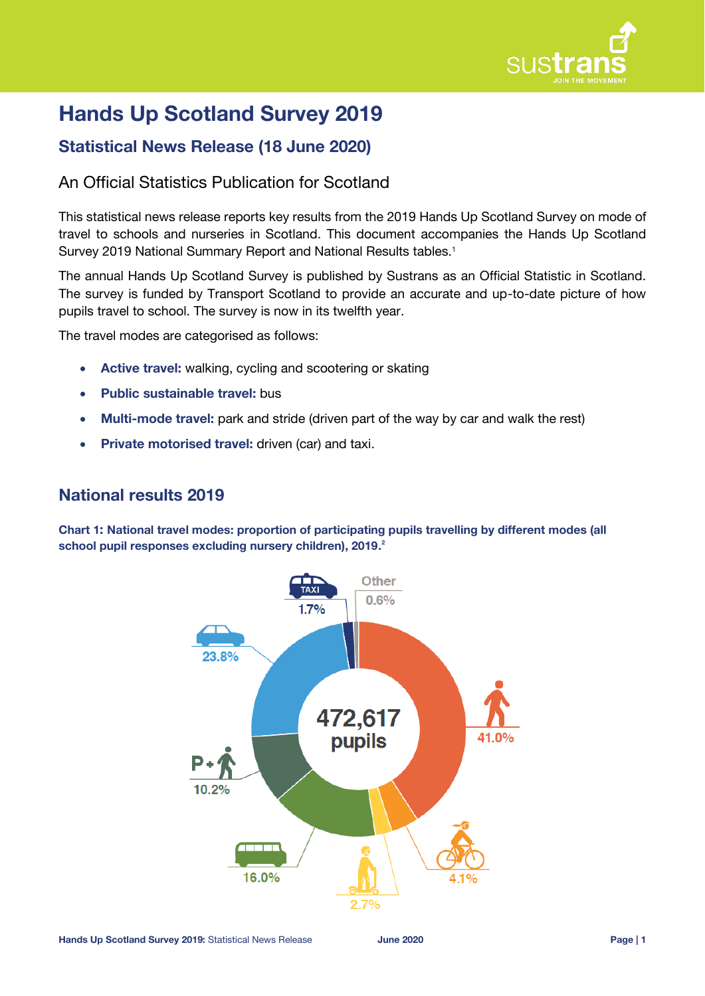

# **Hands Up Scotland Survey 2019**

# **Statistical News Release (18 June 2020)**

# An Official Statistics Publication for Scotland

This statistical news release reports key results from the 2019 Hands Up Scotland Survey on mode of travel to schools and nurseries in Scotland. This document accompanies the Hands Up Scotland Survey 2019 National Summary Report and National Results tables.<sup>1</sup>

The annual Hands Up Scotland Survey is published by Sustrans as an Official Statistic in Scotland. The survey is funded by Transport Scotland to provide an accurate and up-to-date picture of how pupils travel to school. The survey is now in its twelfth year.

The travel modes are categorised as follows:

- **Active travel:** walking, cycling and scootering or skating
- **Public sustainable travel:** bus
- **Multi-mode travel:** park and stride (driven part of the way by car and walk the rest)
- **Private motorised travel:** driven (car) and taxi.

# **National results 2019**

**Chart 1: National travel modes: proportion of participating pupils travelling by different modes (all school pupil responses excluding nursery children), 2019. 2**

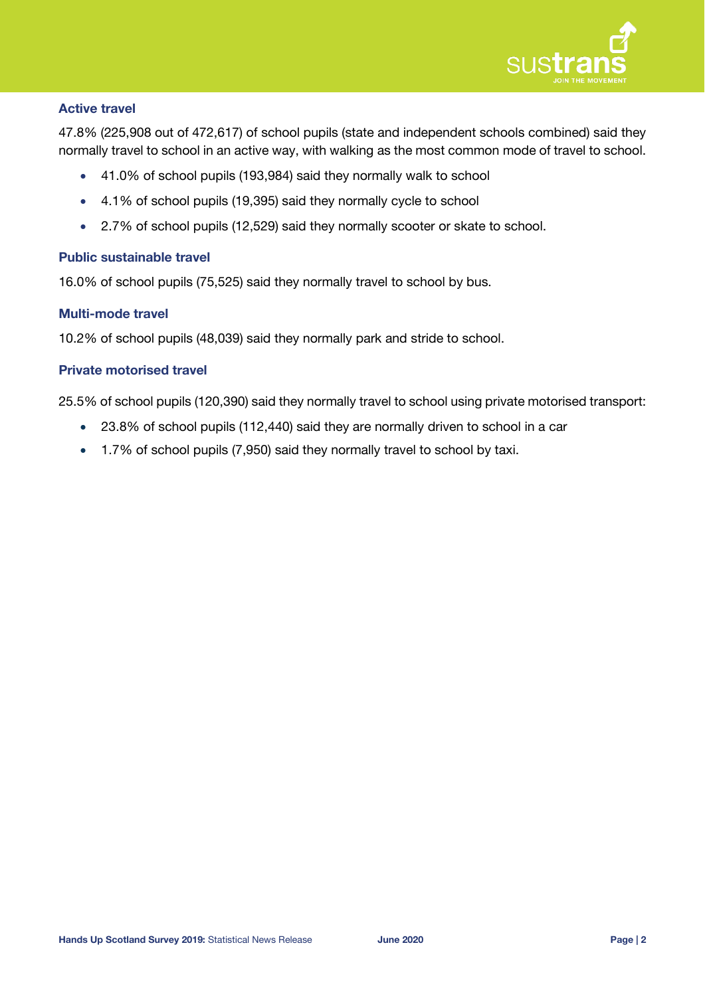

# **Active travel**

47.8% (225,908 out of 472,617) of school pupils (state and independent schools combined) said they normally travel to school in an active way, with walking as the most common mode of travel to school.

- 41.0% of school pupils (193,984) said they normally walk to school
- 4.1% of school pupils (19,395) said they normally cycle to school
- 2.7% of school pupils (12,529) said they normally scooter or skate to school.

# **Public sustainable travel**

16.0% of school pupils (75,525) said they normally travel to school by bus.

### **Multi-mode travel**

10.2% of school pupils (48,039) said they normally park and stride to school.

# **Private motorised travel**

25.5% of school pupils (120,390) said they normally travel to school using private motorised transport:

- 23.8% of school pupils (112,440) said they are normally driven to school in a car
- 1.7% of school pupils (7,950) said they normally travel to school by taxi.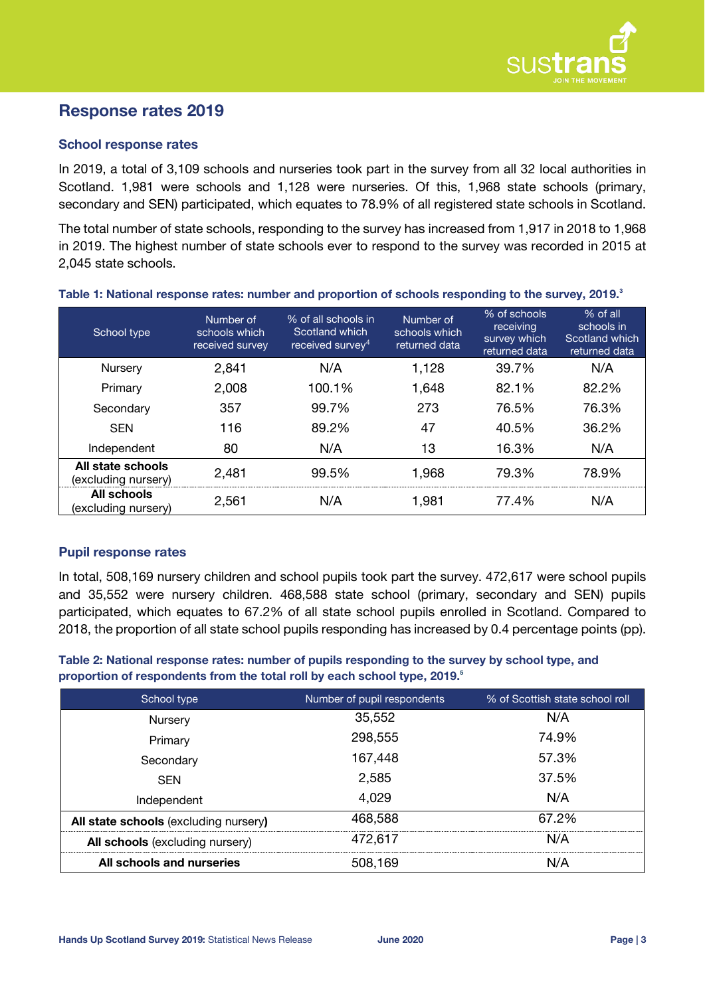

# **Response rates 2019**

# **School response rates**

In 2019, a total of 3,109 schools and nurseries took part in the survey from all 32 local authorities in Scotland. 1,981 were schools and 1,128 were nurseries. Of this, 1,968 state schools (primary, secondary and SEN) participated, which equates to 78.9% of all registered state schools in Scotland.

The total number of state schools, responding to the survey has increased from 1,917 in 2018 to 1,968 in 2019. The highest number of state schools ever to respond to the survey was recorded in 2015 at 2,045 state schools.

| School type                              | Number of<br>schools which<br>received survey | % of all schools in<br>Scotland which<br>received survev <sup>4</sup> | Number of<br>schools which<br>returned data | % of schools<br>receiving<br>survey which<br>returned data | % of all<br>schools in<br>Scotland which<br>returned data |
|------------------------------------------|-----------------------------------------------|-----------------------------------------------------------------------|---------------------------------------------|------------------------------------------------------------|-----------------------------------------------------------|
| Nursery                                  | 2,841                                         | N/A                                                                   | 1,128                                       | 39.7%                                                      | N/A                                                       |
| Primary                                  | 2,008                                         | 100.1%                                                                | 1,648                                       | 82.1%                                                      | 82.2%                                                     |
| Secondary                                | 357                                           | 99.7%                                                                 | 273                                         | 76.5%                                                      | 76.3%                                                     |
| <b>SEN</b>                               | 116                                           | 89.2%                                                                 | 47                                          | 40.5%                                                      | 36.2%                                                     |
| Independent                              | 80                                            | N/A                                                                   | 13                                          | 16.3%                                                      | N/A                                                       |
| All state schools<br>(excluding nursery) | 2,481                                         | 99.5%                                                                 | 1,968                                       | 79.3%                                                      | 78.9%                                                     |
| All schools<br>(excluding nursery)       | 2,561                                         | N/A                                                                   | 1,981                                       | 77.4%                                                      | N/A                                                       |

#### **Table 1: National response rates: number and proportion of schools responding to the survey, 2019. 3**

# **Pupil response rates**

In total, 508,169 nursery children and school pupils took part the survey. 472,617 were school pupils and 35,552 were nursery children. 468,588 state school (primary, secondary and SEN) pupils participated, which equates to 67.2% of all state school pupils enrolled in Scotland. Compared to 2018, the proportion of all state school pupils responding has increased by 0.4 percentage points (pp).

**Table 2: National response rates: number of pupils responding to the survey by school type, and proportion of respondents from the total roll by each school type, 2019. 5**

| School type                           | Number of pupil respondents | % of Scottish state school roll |
|---------------------------------------|-----------------------------|---------------------------------|
| Nursery                               | 35,552                      | N/A                             |
| Primary                               | 298,555                     | 74.9%                           |
| Secondary                             | 167,448                     | 57.3%                           |
| <b>SEN</b>                            | 2,585                       | 37.5%                           |
| Independent                           | 4,029                       | N/A                             |
| All state schools (excluding nursery) | 468,588                     | 67.2%                           |
| All schools (excluding nursery)       | 472,617                     | N/A                             |
| All schools and nurseries             | 508,169                     | N/A                             |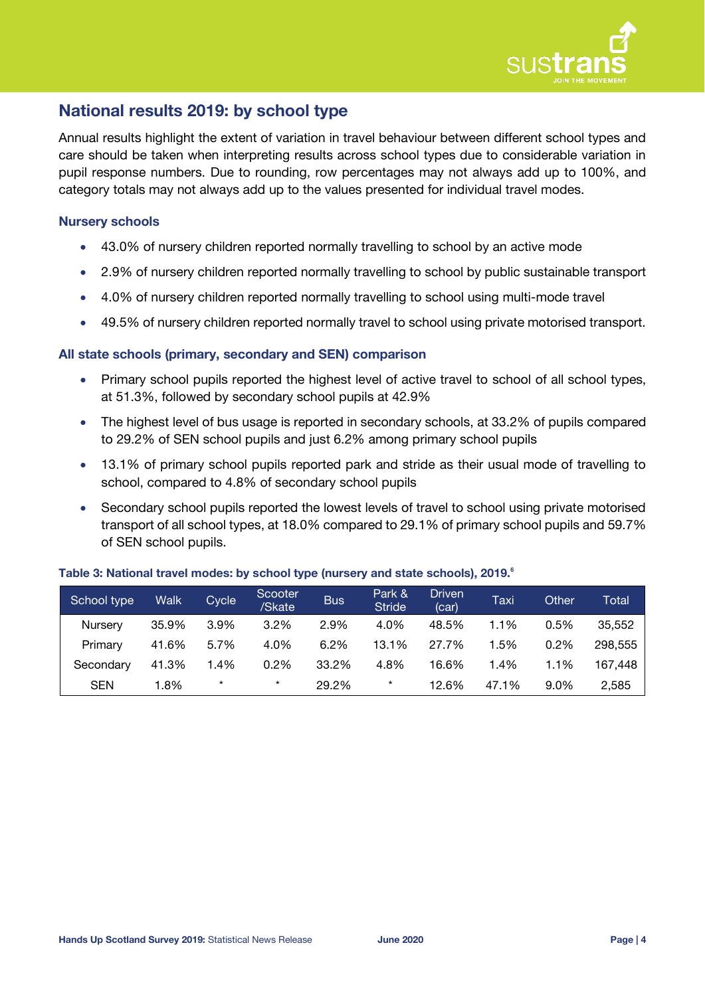

# **National results 2019: by school type**

Annual results highlight the extent of variation in travel behaviour between different school types and care should be taken when interpreting results across school types due to considerable variation in pupil response numbers. Due to rounding, row percentages may not always add up to 100%, and category totals may not always add up to the values presented for individual travel modes.

# **Nursery schools**

- 43.0% of nursery children reported normally travelling to school by an active mode
- 2.9% of nursery children reported normally travelling to school by public sustainable transport
- 4.0% of nursery children reported normally travelling to school using multi-mode travel
- 49.5% of nursery children reported normally travel to school using private motorised transport.

### **All state schools (primary, secondary and SEN) comparison**

- Primary school pupils reported the highest level of active travel to school of all school types, at 51.3%, followed by secondary school pupils at 42.9%
- The highest level of bus usage is reported in secondary schools, at 33.2% of pupils compared to 29.2% of SEN school pupils and just 6.2% among primary school pupils
- 13.1% of primary school pupils reported park and stride as their usual mode of travelling to school, compared to 4.8% of secondary school pupils
- Secondary school pupils reported the lowest levels of travel to school using private motorised transport of all school types, at 18.0% compared to 29.1% of primary school pupils and 59.7% of SEN school pupils.

| School type | Walk  | Cycle   | Scooter<br>/Skate | <b>Bus</b> | Park &<br><b>Stride</b> | <b>Driven</b><br>(car) | Taxi  | Other   | Total   |
|-------------|-------|---------|-------------------|------------|-------------------------|------------------------|-------|---------|---------|
| Nursery     | 35.9% | 3.9%    | 3.2%              | 2.9%       | 4.0%                    | 48.5%                  | 1.1%  | 0.5%    | 35,552  |
| Primary     | 41.6% | 5.7%    | 4.0%              | 6.2%       | 13.1%                   | 27.7%                  | 1.5%  | 0.2%    | 298.555 |
| Secondary   | 41.3% | 1.4%    | 0.2%              | 33.2%      | 4.8%                    | 16.6%                  | 1.4%  | 1.1%    | 167.448 |
| <b>SEN</b>  | 1.8%  | $\star$ | $\star$           | 29.2%      | $^\star$                | 12.6%                  | 47.1% | $9.0\%$ | 2,585   |

### **Table 3: National travel modes: by school type (nursery and state schools), 2019. 6**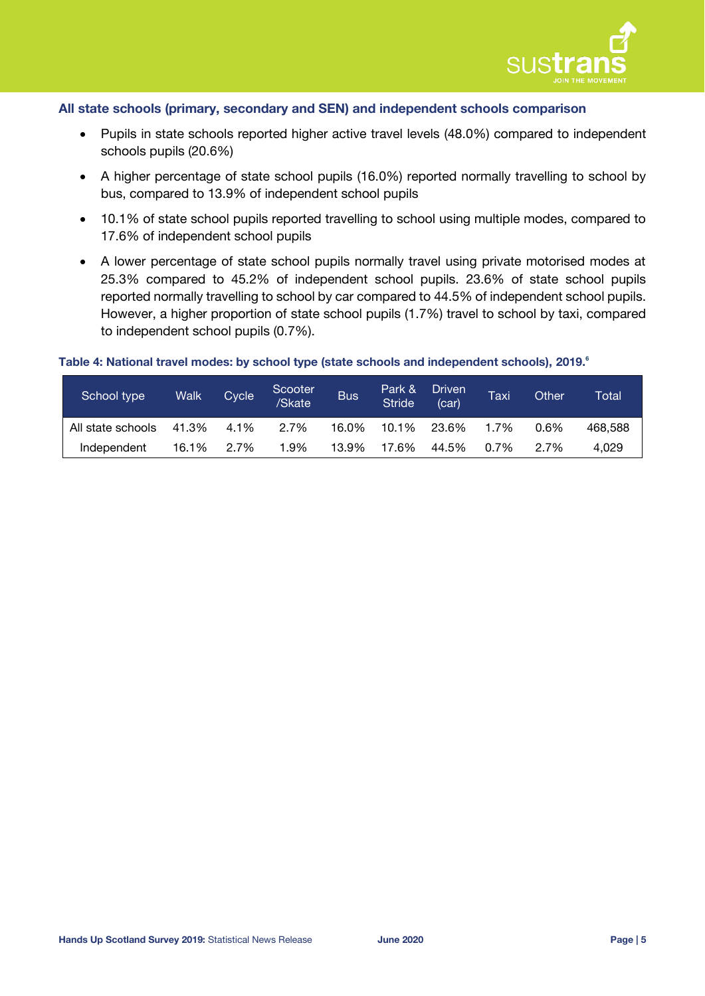

### **All state schools (primary, secondary and SEN) and independent schools comparison**

- Pupils in state schools reported higher active travel levels (48.0%) compared to independent schools pupils (20.6%)
- A higher percentage of state school pupils (16.0%) reported normally travelling to school by bus, compared to 13.9% of independent school pupils
- 10.1% of state school pupils reported travelling to school using multiple modes, compared to 17.6% of independent school pupils
- A lower percentage of state school pupils normally travel using private motorised modes at 25.3% compared to 45.2% of independent school pupils. 23.6% of state school pupils reported normally travelling to school by car compared to 44.5% of independent school pupils. However, a higher proportion of state school pupils (1.7%) travel to school by taxi, compared to independent school pupils (0.7%).

# **Table 4: National travel modes: by school type (state schools and independent schools), 2019[.](#page-9-0) 6**

| School type       | <b>Walk</b> | <b>Cycle</b> | Scooter<br>/Skate | <b>Bus</b> | Park &<br><b>Stride</b> | <b>Driven</b><br>(car) | Taxi | Other | Total   |
|-------------------|-------------|--------------|-------------------|------------|-------------------------|------------------------|------|-------|---------|
| All state schools | 41.3%       | 4.1%         | 2.7%              | 16.0%      | 10.1%                   | 23.6%                  | 1.7% | 0.6%  | 468.588 |
| Independent       | 16.1%       | 2.7%         | 1.9%              | 13.9%      | 17.6%                   | 44.5%                  | 0.7% | 2.7%  | 4.029   |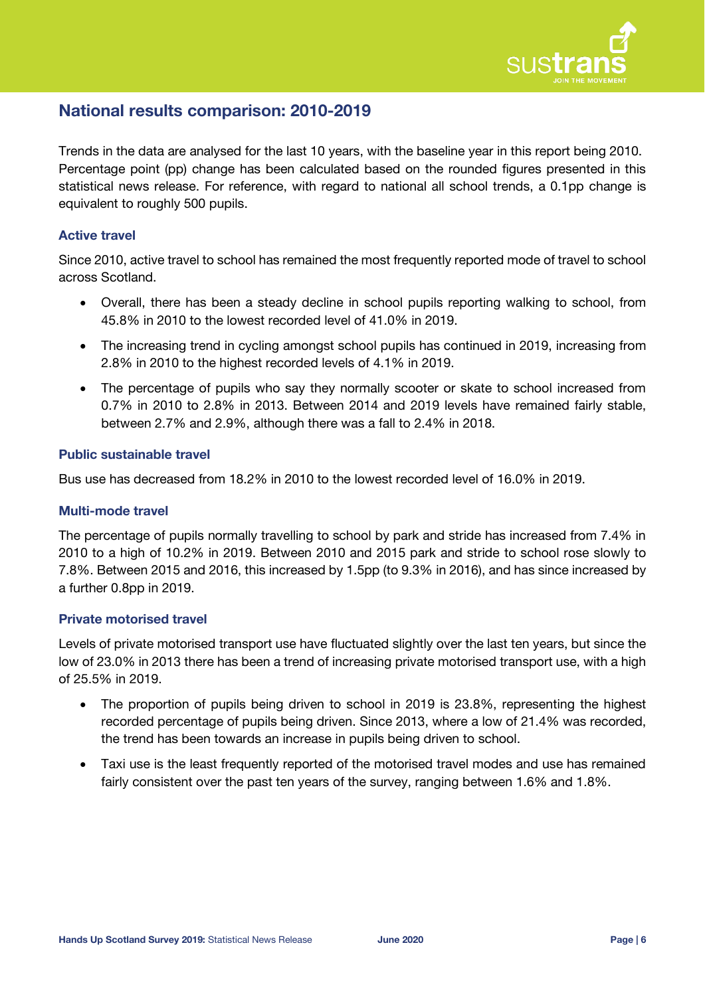

# **National results comparison: 2010-2019**

Trends in the data are analysed for the last 10 years, with the baseline year in this report being 2010. Percentage point (pp) change has been calculated based on the rounded figures presented in this statistical news release. For reference, with regard to national all school trends, a 0.1pp change is equivalent to roughly 500 pupils.

# **Active travel**

Since 2010, active travel to school has remained the most frequently reported mode of travel to school across Scotland.

- Overall, there has been a steady decline in school pupils reporting walking to school, from 45.8% in 2010 to the lowest recorded level of 41.0% in 2019.
- The increasing trend in cycling amongst school pupils has continued in 2019, increasing from 2.8% in 2010 to the highest recorded levels of 4.1% in 2019.
- The percentage of pupils who say they normally scooter or skate to school increased from 0.7% in 2010 to 2.8% in 2013. Between 2014 and 2019 levels have remained fairly stable, between 2.7% and 2.9%, although there was a fall to 2.4% in 2018.

### **Public sustainable travel**

Bus use has decreased from 18.2% in 2010 to the lowest recorded level of 16.0% in 2019.

### **Multi-mode travel**

The percentage of pupils normally travelling to school by park and stride has increased from 7.4% in 2010 to a high of 10.2% in 2019. Between 2010 and 2015 park and stride to school rose slowly to 7.8%. Between 2015 and 2016, this increased by 1.5pp (to 9.3% in 2016), and has since increased by a further 0.8pp in 2019.

### **Private motorised travel**

Levels of private motorised transport use have fluctuated slightly over the last ten years, but since the low of 23.0% in 2013 there has been a trend of increasing private motorised transport use, with a high of 25.5% in 2019.

- The proportion of pupils being driven to school in 2019 is 23.8%, representing the highest recorded percentage of pupils being driven. Since 2013, where a low of 21.4% was recorded, the trend has been towards an increase in pupils being driven to school.
- Taxi use is the least frequently reported of the motorised travel modes and use has remained fairly consistent over the past ten years of the survey, ranging between 1.6% and 1.8%.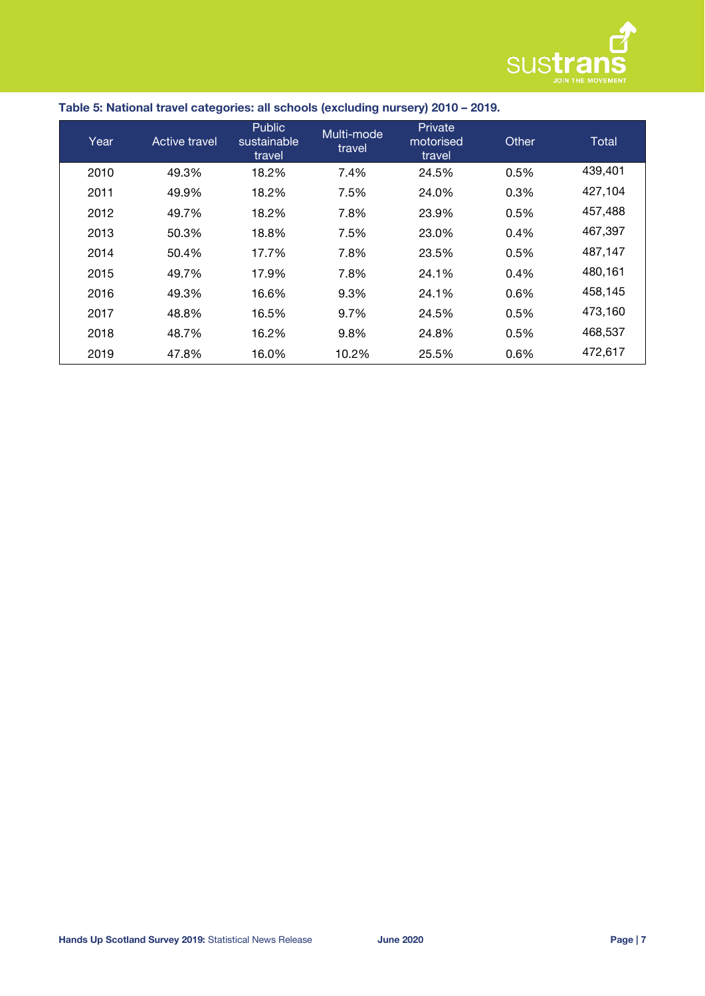

| Table 5: National travel categories: all schools (excluding nursery) 2010 - 2019. |  |
|-----------------------------------------------------------------------------------|--|

| Year | Active travel | <b>Public</b><br>sustainable<br>travel | Multi-mode<br>travel | Private<br>motorised<br>travel | Other | Total   |
|------|---------------|----------------------------------------|----------------------|--------------------------------|-------|---------|
| 2010 | 49.3%         | 18.2%                                  | 7.4%                 | 24.5%                          | 0.5%  | 439,401 |
| 2011 | 49.9%         | 18.2%                                  | 7.5%                 | 24.0%                          | 0.3%  | 427,104 |
| 2012 | 49.7%         | 18.2%                                  | 7.8%                 | 23.9%                          | 0.5%  | 457,488 |
| 2013 | 50.3%         | 18.8%                                  | 7.5%                 | 23.0%                          | 0.4%  | 467,397 |
| 2014 | 50.4%         | 17.7%                                  | 7.8%                 | 23.5%                          | 0.5%  | 487,147 |
| 2015 | 49.7%         | 17.9%                                  | 7.8%                 | 24.1%                          | 0.4%  | 480,161 |
| 2016 | 49.3%         | 16.6%                                  | 9.3%                 | 24.1%                          | 0.6%  | 458,145 |
| 2017 | 48.8%         | 16.5%                                  | 9.7%                 | 24.5%                          | 0.5%  | 473,160 |
| 2018 | 48.7%         | 16.2%                                  | 9.8%                 | 24.8%                          | 0.5%  | 468,537 |
| 2019 | 47.8%         | 16.0%                                  | 10.2%                | 25.5%                          | 0.6%  | 472,617 |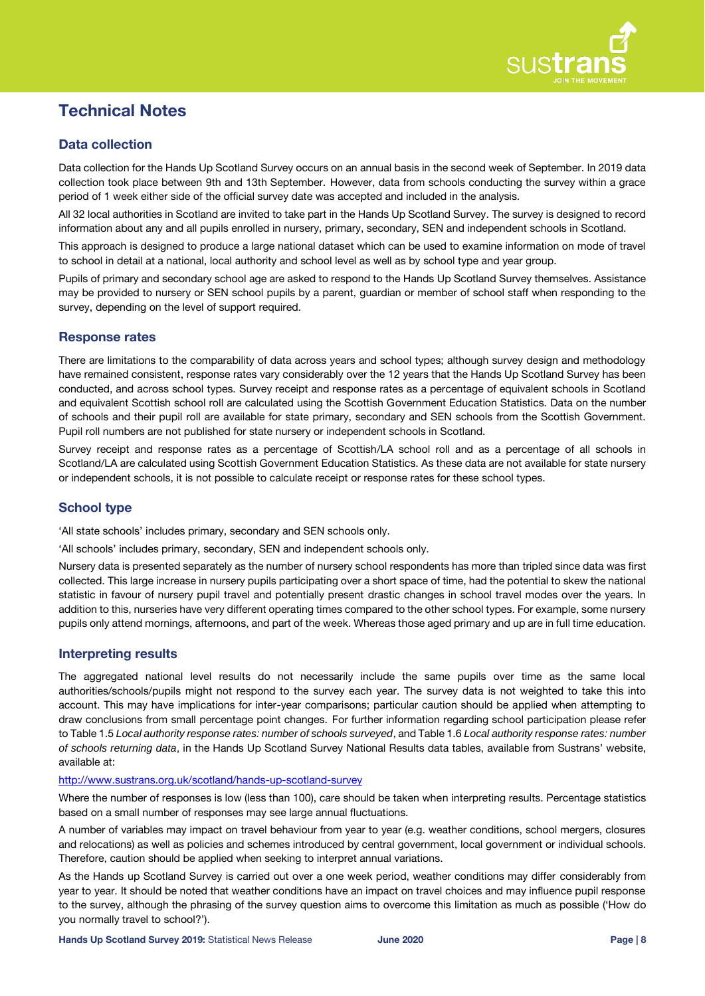

# **Technical Notes**

# **Data collection**

Data collection for the Hands Up Scotland Survey occurs on an annual basis in the second week of September. In 2019 data collection took place between 9th and 13th September. However, data from schools conducting the survey within a grace period of 1 week either side of the official survey date was accepted and included in the analysis.

All 32 local authorities in Scotland are invited to take part in the Hands Up Scotland Survey. The survey is designed to record information about any and all pupils enrolled in nursery, primary, secondary, SEN and independent schools in Scotland.

This approach is designed to produce a large national dataset which can be used to examine information on mode of travel to school in detail at a national, local authority and school level as well as by school type and year group.

Pupils of primary and secondary school age are asked to respond to the Hands Up Scotland Survey themselves. Assistance may be provided to nursery or SEN school pupils by a parent, guardian or member of school staff when responding to the survey, depending on the level of support required.

### **Response rates**

There are limitations to the comparability of data across years and school types; although survey design and methodology have remained consistent, response rates vary considerably over the 12 years that the Hands Up Scotland Survey has been conducted, and across school types. Survey receipt and response rates as a percentage of equivalent schools in Scotland and equivalent Scottish school roll are calculated using the Scottish Government Education Statistics. Data on the number of schools and their pupil roll are available for state primary, secondary and SEN schools from the Scottish Government. Pupil roll numbers are not published for state nursery or independent schools in Scotland.

Survey receipt and response rates as a percentage of Scottish/LA school roll and as a percentage of all schools in Scotland/LA are calculated using Scottish Government Education Statistics. As these data are not available for state nursery or independent schools, it is not possible to calculate receipt or response rates for these school types.

### **School type**

'All state schools' includes primary, secondary and SEN schools only.

'All schools' includes primary, secondary, SEN and independent schools only.

Nursery data is presented separately as the number of nursery school respondents has more than tripled since data was first collected. This large increase in nursery pupils participating over a short space of time, had the potential to skew the national statistic in favour of nursery pupil travel and potentially present drastic changes in school travel modes over the years. In addition to this, nurseries have very different operating times compared to the other school types. For example, some nursery pupils only attend mornings, afternoons, and part of the week. Whereas those aged primary and up are in full time education.

### **Interpreting results**

The aggregated national level results do not necessarily include the same pupils over time as the same local authorities/schools/pupils might not respond to the survey each year. The survey data is not weighted to take this into account. This may have implications for inter-year comparisons; particular caution should be applied when attempting to draw conclusions from small percentage point changes. For further information regarding school participation please refer to Table 1.5 *Local authority response rates: number of schools surveyed*, and Table 1.6 *Local authority response rates: number of schools returning data*, in the Hands Up Scotland Survey National Results data tables, available from Sustrans' website, available at:

#### <http://www.sustrans.org.uk/scotland/hands-up-scotland-survey>

Where the number of responses is low (less than 100), care should be taken when interpreting results. Percentage statistics based on a small number of responses may see large annual fluctuations.

A number of variables may impact on travel behaviour from year to year (e.g. weather conditions, school mergers, closures and relocations) as well as policies and schemes introduced by central government, local government or individual schools. Therefore, caution should be applied when seeking to interpret annual variations.

As the Hands up Scotland Survey is carried out over a one week period, weather conditions may differ considerably from year to year. It should be noted that weather conditions have an impact on travel choices and may influence pupil response to the survey, although the phrasing of the survey question aims to overcome this limitation as much as possible ('How do you normally travel to school?').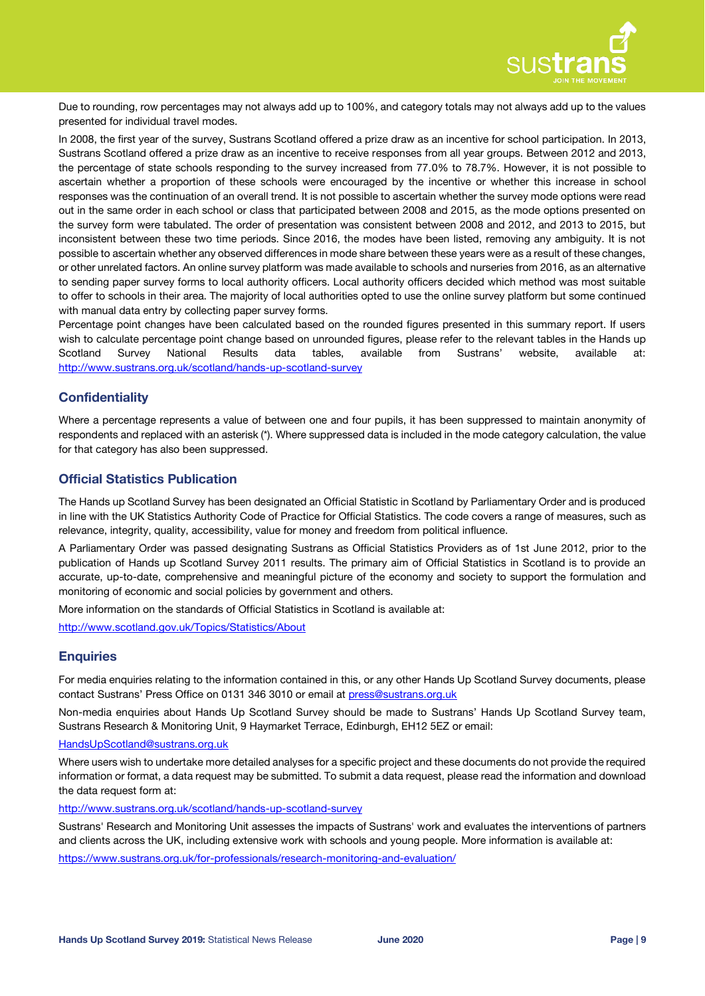

Due to rounding, row percentages may not always add up to 100%, and category totals may not always add up to the values presented for individual travel modes.

In 2008, the first year of the survey, Sustrans Scotland offered a prize draw as an incentive for school participation. In 2013, Sustrans Scotland offered a prize draw as an incentive to receive responses from all year groups. Between 2012 and 2013, the percentage of state schools responding to the survey increased from 77.0% to 78.7%. However, it is not possible to ascertain whether a proportion of these schools were encouraged by the incentive or whether this increase in school responses was the continuation of an overall trend. It is not possible to ascertain whether the survey mode options were read out in the same order in each school or class that participated between 2008 and 2015, as the mode options presented on the survey form were tabulated. The order of presentation was consistent between 2008 and 2012, and 2013 to 2015, but inconsistent between these two time periods. Since 2016, the modes have been listed, removing any ambiguity. It is not possible to ascertain whether any observed differences in mode share between these years were as a result of these changes, or other unrelated factors. An online survey platform was made available to schools and nurseries from 2016, as an alternative to sending paper survey forms to local authority officers. Local authority officers decided which method was most suitable to offer to schools in their area. The majority of local authorities opted to use the online survey platform but some continued with manual data entry by collecting paper survey forms.

Percentage point changes have been calculated based on the rounded figures presented in this summary report. If users wish to calculate percentage point change based on unrounded figures, please refer to the relevant tables in the Hands up Scotland Survey National Results data tables, available from Sustrans' website, available at: <http://www.sustrans.org.uk/scotland/hands-up-scotland-survey>

### **Confidentiality**

Where a percentage represents a value of between one and four pupils, it has been suppressed to maintain anonymity of respondents and replaced with an asterisk (\*). Where suppressed data is included in the mode category calculation, the value for that category has also been suppressed.

### **Official Statistics Publication**

The Hands up Scotland Survey has been designated an Official Statistic in Scotland by Parliamentary Order and is produced in line with the UK Statistics Authority Code of Practice for Official Statistics. The code covers a range of measures, such as relevance, integrity, quality, accessibility, value for money and freedom from political influence.

A Parliamentary Order was passed designating Sustrans as Official Statistics Providers as of 1st June 2012, prior to the publication of Hands up Scotland Survey 2011 results. The primary aim of Official Statistics in Scotland is to provide an accurate, up-to-date, comprehensive and meaningful picture of the economy and society to support the formulation and monitoring of economic and social policies by government and others.

More information on the standards of Official Statistics in Scotland is available at:

<http://www.scotland.gov.uk/Topics/Statistics/About>

### **Enquiries**

For media enquiries relating to the information contained in this, or any other Hands Up Scotland Survey documents, please contact Sustrans' Press Office on 0131 346 3010 or email at [press@sustrans.org.uk](mailto:press@sustrans.org.uk?subject=HUSS%202017%20enquiry,%20C/O%20Charlotte%20Otter)

Non-media enquiries about Hands Up Scotland Survey should be made to Sustrans' Hands Up Scotland Survey team, Sustrans Research & Monitoring Unit, 9 Haymarket Terrace, Edinburgh, EH12 5EZ or email:

#### [HandsUpScotland@sustrans.org.uk](mailto:HandsUpScotland@sustrans.org.uk?subject=HUSS%202017%20enquiry)

Where users wish to undertake more detailed analyses for a specific project and these documents do not provide the required information or format, a data request may be submitted. To submit a data request, please read the information and download the data request form at:

<http://www.sustrans.org.uk/scotland/hands-up-scotland-survey>

Sustrans' Research and Monitoring Unit assesses the impacts of Sustrans' work and evaluates the interventions of partners and clients across the UK, including extensive work with schools and young people. More information is available at:

<https://www.sustrans.org.uk/for-professionals/research-monitoring-and-evaluation/>